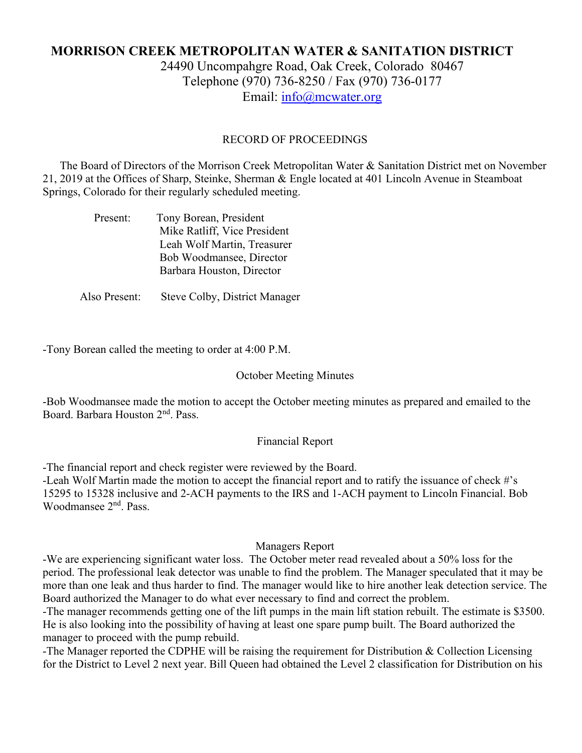# **MORRISON CREEK METROPOLITAN WATER & SANITATION DISTRICT** 24490 Uncompahgre Road, Oak Creek, Colorado 80467 Telephone (970) 736-8250 / Fax (970) 736-0177

Email: [info@mcwater.org](mailto:info@mcwater.org)

## RECORD OF PROCEEDINGS

 The Board of Directors of the Morrison Creek Metropolitan Water & Sanitation District met on November 21, 2019 at the Offices of Sharp, Steinke, Sherman & Engle located at 401 Lincoln Avenue in Steamboat Springs, Colorado for their regularly scheduled meeting.

| Present: | Tony Borean, President       |
|----------|------------------------------|
|          | Mike Ratliff, Vice President |
|          | Leah Wolf Martin, Treasurer  |
|          | Bob Woodmansee, Director     |
|          | Barbara Houston, Director    |
|          |                              |

Also Present: Steve Colby, District Manager

-Tony Borean called the meeting to order at 4:00 P.M.

### October Meeting Minutes

-Bob Woodmansee made the motion to accept the October meeting minutes as prepared and emailed to the Board. Barbara Houston 2<sup>nd</sup>. Pass.

### Financial Report

-The financial report and check register were reviewed by the Board. -Leah Wolf Martin made the motion to accept the financial report and to ratify the issuance of check #'s 15295 to 15328 inclusive and 2-ACH payments to the IRS and 1-ACH payment to Lincoln Financial. Bob Woodmansee 2<sup>nd</sup>. Pass.

### Managers Report

-We are experiencing significant water loss. The October meter read revealed about a 50% loss for the period. The professional leak detector was unable to find the problem. The Manager speculated that it may be more than one leak and thus harder to find. The manager would like to hire another leak detection service. The Board authorized the Manager to do what ever necessary to find and correct the problem.

-The manager recommends getting one of the lift pumps in the main lift station rebuilt. The estimate is \$3500. He is also looking into the possibility of having at least one spare pump built. The Board authorized the manager to proceed with the pump rebuild.

-The Manager reported the CDPHE will be raising the requirement for Distribution & Collection Licensing for the District to Level 2 next year. Bill Queen had obtained the Level 2 classification for Distribution on his